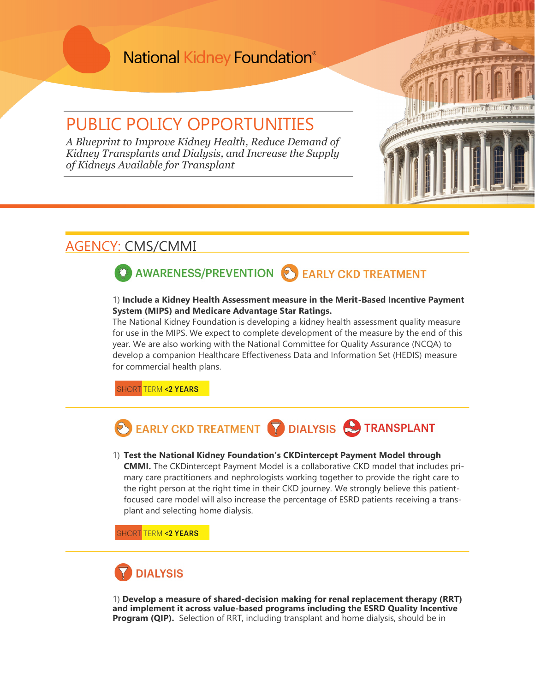## **National Kidney Foundation®**

## PUBLIC POLICY OPPORTUNITIES

*A Blueprint to Improve Kidney Health, Reduce Demand of Kidney Transplants and Dialysis, and Increase the Supply of Kidneys Available for Transplant* 

### AGENCY: CMS/CMMI

# AWARENESS/PREVENTION SEARLY CKD TREATMENT

#### 1) **Include a Kidney Health Assessment measure in the Merit-Based Incentive Payment System (MIPS) and Medicare Advantage Star Ratings.**

The National Kidney Foundation is developing a kidney health assessment quality measure for use in the MIPS. We expect to complete development of the measure by the end of this year. We are also working with the National Committee for Quality Assurance (NCQA) to develop a companion Healthcare Effectiveness Data and Information Set (HEDIS) measure for commercial health plans.

**SHORT TERM <2 YEARS** 

# EARLY CKD TREATMENT **TO DIALYSIS IN TRANSPLANT**

#### 1) **Test the National Kidney Foundation's CKDintercept Payment Model through CMMI.** The CKDintercept Payment Model is a collaborative CKD model that includes primary care practitioners and nephrologists working together to provide the right care to the right person at the right time in their CKD journey. We strongly believe this patientfocused care model will also increase the percentage of ESRD patients receiving a transplant and selecting home dialysis.

SHORT <mark>TERM **<2 YEARS**</mark>

# **DIALYSIS**

1) **Develop a measure of shared-decision making for renal replacement therapy (RRT) and implement it across value-based programs including the ESRD Quality Incentive Program (QIP).** Selection of RRT, including transplant and home dialysis, should be in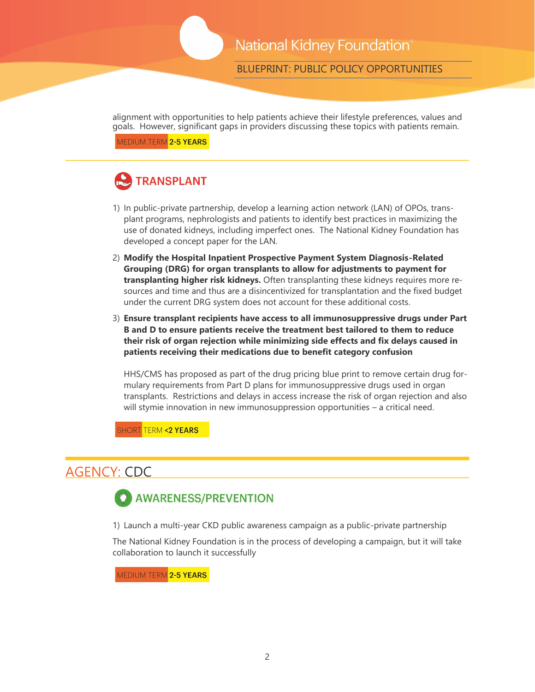BLUEPRINT: PUBLIC POLICY OPPORTUNITIES

alignment with opportunities to help patients achieve their lifestyle preferences, values and goals. However, significant gaps in providers discussing these topics with patients remain.

MEDIUM TERM 2-5 YEARS

# **TRANSPLANT**

- 1) In public-private partnership, develop a learning action network (LAN) of OPOs, transplant programs, nephrologists and patients to identify best practices in maximizing the use of donated kidneys, including imperfect ones. The National Kidney Foundation has developed a concept paper for the LAN.
- 2) **Modify the Hospital Inpatient Prospective Payment System Diagnosis-Related Grouping (DRG) for organ transplants to allow for adjustments to payment for transplanting higher risk kidneys.** Often transplanting these kidneys requires more resources and time and thus are a disincentivized for transplantation and the fixed budget under the current DRG system does not account for these additional costs.
- 3) **Ensure transplant recipients have access to all immunosuppressive drugs under Part B and D to ensure patients receive the treatment best tailored to them to reduce their risk of organ rejection while minimizing side effects and fix delays caused in patients receiving their medications due to benefit category confusion**

HHS/CMS has proposed as part of the drug pricing blue print to remove certain drug formulary requirements from Part D plans for immunosuppressive drugs used in organ transplants. Restrictions and delays in access increase the risk of organ rejection and also will stymie innovation in new immunosuppression opportunities – a critical need.

**HORT TERM <2 YEARS** 

### AGENCY: CDC



1) Launch a multi-year CKD public awareness campaign as a public-private partnership

The National Kidney Foundation is in the process of developing a campaign, but it will take collaboration to launch it successfully

MEDIUM TERM 2-5 YEARS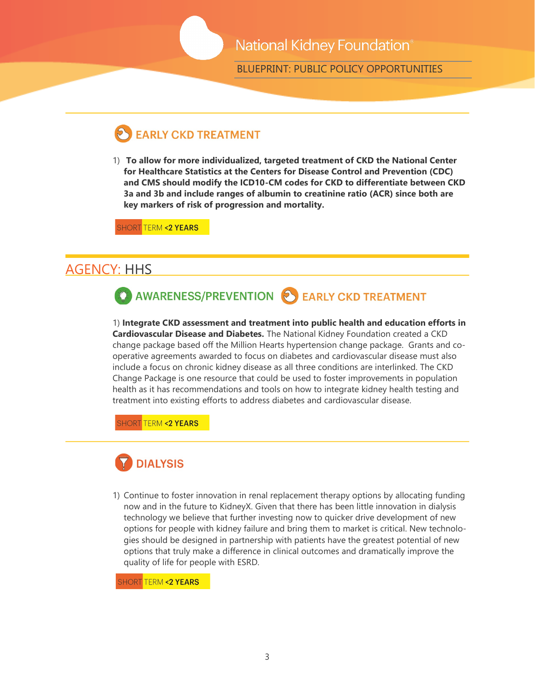### National Kidney Foundation®

BLUEPRINT: PUBLIC POLICY OPPORTUNITIES

## **EARLY CKD TREATMENT**

1) **To allow for more individualized, targeted treatment of CKD the National Center for Healthcare Statistics at the Centers for Disease Control and Prevention (CDC) and CMS should modify the ICD10-CM codes for CKD to differentiate between CKD 3a and 3b and include ranges of albumin to creatinine ratio (ACR) since both are key markers of risk of progression and mortality.** 

SHORT TERM **<2 YEARS** 

#### AGENCY: HHS



1) **Integrate CKD assessment and treatment into public health and education efforts in Cardiovascular Disease and Diabetes.** The National Kidney Foundation created a CKD change package based off the Million Hearts hypertension change package. Grants and cooperative agreements awarded to focus on diabetes and cardiovascular disease must also include a focus on chronic kidney disease as all three conditions are interlinked. The CKD Change Package is one resource that could be used to foster improvements in population health as it has recommendations and tools on how to integrate kidney health testing and treatment into existing efforts to address diabetes and cardiovascular disease.

**SHORT TERM <2 YEARS** 



1) Continue to foster innovation in renal replacement therapy options by allocating funding now and in the future to KidneyX. Given that there has been little innovation in dialysis technology we believe that further investing now to quicker drive development of new options for people with kidney failure and bring them to market is critical. New technologies should be designed in partnership with patients have the greatest potential of new options that truly make a difference in clinical outcomes and dramatically improve the quality of life for people with ESRD.

SHORT <mark>TERM <**2 YEARS**</u></mark>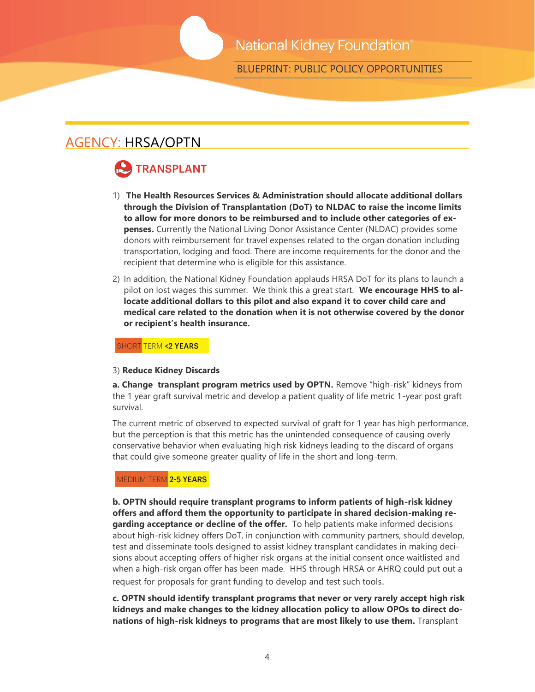BLUEPRINT: PUBLIC POLICY OPPORTUNITIES

### AGENCY: HRSA/OPTN

# **TRANSPLANT**

- 1) **The Health Resources Services & Administration should allocate additional dollars through the Division of Transplantation (DoT) to NLDAC to raise the income limits to allow for more donors to be reimbursed and to include other categories of expenses.** Currently the National Living Donor Assistance Center (NLDAC) provides some donors with reimbursement for travel expenses related to the organ donation including transportation, lodging and food. There are income requirements for the donor and the recipient that determine who is eligible for this assistance.
- 2) In addition, the National Kidney Foundation applauds HRSA DoT for its plans to launch a pilot on lost wages this summer. We think this a great start. **We encourage HHS to allocate additional dollars to this pilot and also expand it to cover child care and medical care related to the donation when it is not otherwise covered by the donor or recipient's health insurance.**

**SHORT TERM <2 YEARS** 

#### 3) **Reduce Kidney Discards**

**a. Change transplant program metrics used by OPTN.** Remove "high-risk" kidneys from the 1 year graft survival metric and develop a patient quality of life metric 1-year post graft survival.

The current metric of observed to expected survival of graft for 1 year has high performance, but the perception is that this metric has the unintended consequence of causing overly conservative behavior when evaluating high risk kidneys leading to the discard of organs that could give someone greater quality of life in the short and long-term.

#### MEDIUM TERM 2-5 YEARS

**b. OPTN should require transplant programs to inform patients of high-risk kidney offers and afford them the opportunity to participate in shared decision-making regarding acceptance or decline of the offer.** To help patients make informed decisions about high-risk kidney offers DoT, in conjunction with community partners, should develop, test and disseminate tools designed to assist kidney transplant candidates in making decisions about accepting offers of higher risk organs at the initial consent once waitlisted and when a high-risk organ offer has been made. HHS through HRSA or AHRQ could put out a request for proposals for grant funding to develop and test such tools.

**c. OPTN should identify transplant programs that never or very rarely accept high risk kidneys and make changes to the kidney allocation policy to allow OPOs to direct donations of high-risk kidneys to programs that are most likely to use them.** Transplant